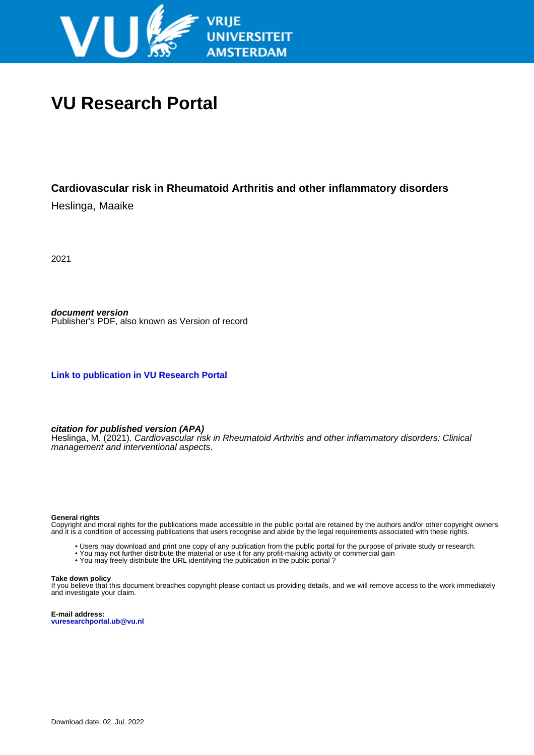

# **VU Research Portal**

## **Cardiovascular risk in Rheumatoid Arthritis and other inflammatory disorders**

Heslinga, Maaike

2021

**document version** Publisher's PDF, also known as Version of record

**[Link to publication in VU Research Portal](https://research.vu.nl/en/publications/23235c9e-4a85-4f26-9091-38dbfe04f639)**

### **citation for published version (APA)**

Heslinga, M. (2021). Cardiovascular risk in Rheumatoid Arthritis and other inflammatory disorders: Clinical management and interventional aspects.

#### **General rights**

Copyright and moral rights for the publications made accessible in the public portal are retained by the authors and/or other copyright owners and it is a condition of accessing publications that users recognise and abide by the legal requirements associated with these rights.

- Users may download and print one copy of any publication from the public portal for the purpose of private study or research.
- You may not further distribute the material or use it for any profit-making activity or commercial gain
- You may freely distribute the URL identifying the publication in the public portal?

#### **Take down policy**

If you believe that this document breaches copyright please contact us providing details, and we will remove access to the work immediately and investigate your claim.

**E-mail address: vuresearchportal.ub@vu.nl**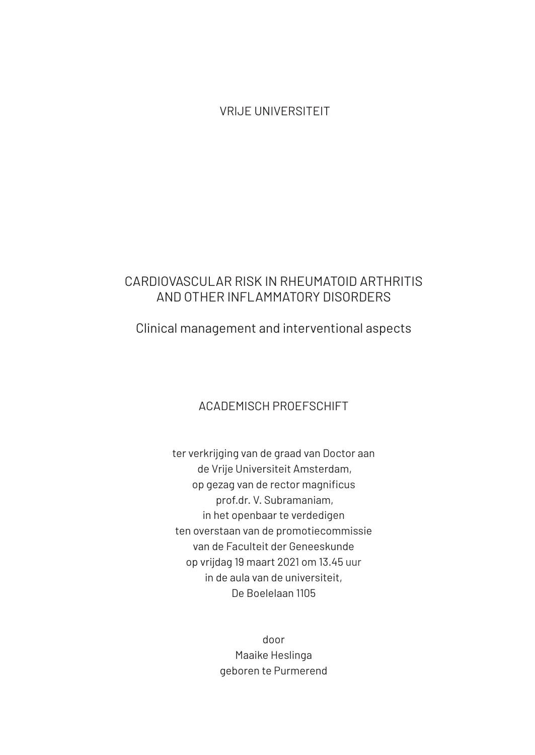VRIJE UNIVERSITEIT

## CARDIOVASCULAR RISK IN RHEUMATOID ARTHRITIS AND OTHER INFLAMMATORY DISORDERS

## Clinical management and interventional aspects

## ACADEMISCH PROEFSCHIFT

ter verkrijging van de graad van Doctor aan de Vrije Universiteit Amsterdam, op gezag van de rector magnificus prof.dr. V. Subramaniam, in het openbaar te verdedigen ten overstaan van de promotiecommissie van de Faculteit der Geneeskunde op vrijdag 19 maart 2021 om 13.45 uur in de aula van de universiteit, De Boelelaan 1105

> door Maaike Heslinga geboren te Purmerend